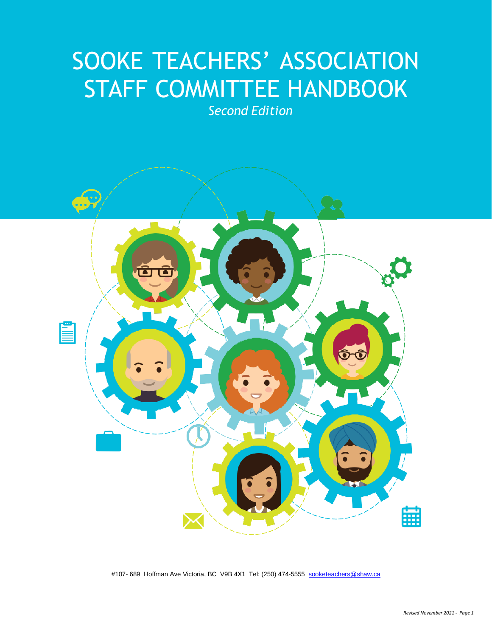# SOOKE TEACHERS' ASSOCIATION STAFF COMMITTEE HANDBOOK

*Second Edition*



#107- 689 Hoffman Ave Victoria, BC V9B 4X1 Tel: (250) 474-5555 [sooketeachers@shaw.ca](mailto:sooketeachers@shaw.ca)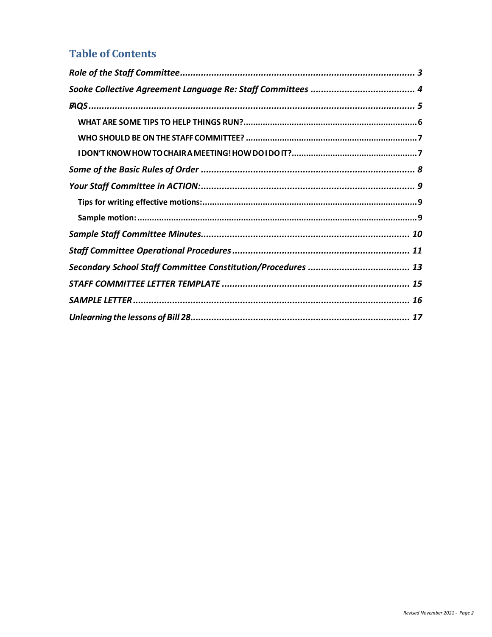### **Table of Contents**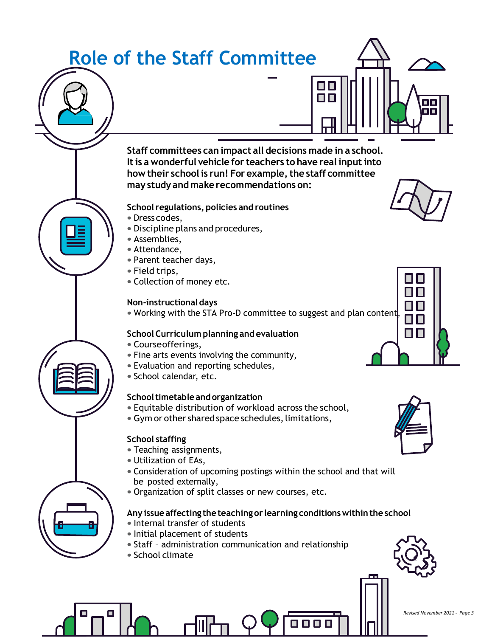<span id="page-2-0"></span>

О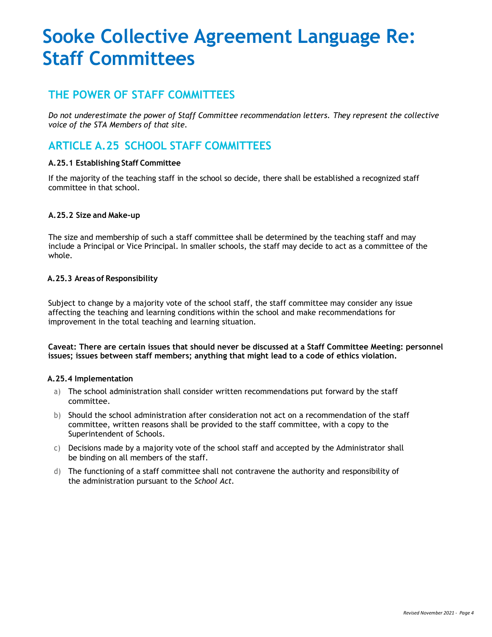## <span id="page-3-0"></span>**Sooke Collective Agreement Language Re: Staff Committees**

### **THE POWER OF STAFF COMMITTEES**

*Do not underestimate the power of Staff Committee recommendation letters. They represent the collective voice of the STA Members of that site.*

### **ARTICLE A.25 SCHOOL STAFF COMMITTEES**

#### **A.25.1 Establishing Staff Committee**

If the majority of the teaching staff in the school so decide, there shall be established a recognized staff committee in that school.

#### **A.25.2 Size and Make-up**

The size and membership of such a staff committee shall be determined by the teaching staff and may include a Principal or Vice Principal. In smaller schools, the staff may decide to act as a committee of the whole.

#### **A.25.3 Areas of Responsibility**

Subject to change by a majority vote of the school staff, the staff committee may consider any issue affecting the teaching and learning conditions within the school and make recommendations for improvement in the total teaching and learning situation.

**Caveat: There are certain issues that should never be discussed at a Staff Committee Meeting: personnel issues; issues between staff members; anything that might lead to a code of ethics violation.**

#### **A.25.4 Implementation**

- a) The school administration shall consider written recommendations put forward by the staff committee.
- b) Should the school administration after consideration not act on a recommendation of the staff committee, written reasons shall be provided to the staff committee, with a copy to the Superintendent of Schools.
- c) Decisions made by a majority vote of the school staff and accepted by the Administrator shall be binding on all members of the staff.
- d) The functioning of a staff committee shall not contravene the authority and responsibility of the administration pursuant to the *School Act*.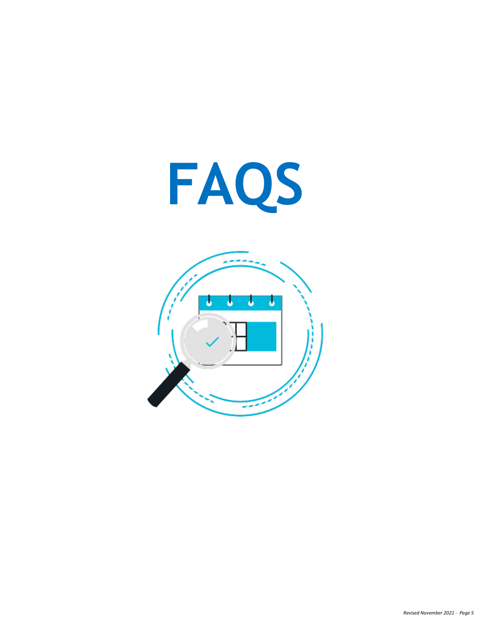<span id="page-4-0"></span>

ï ſ, 7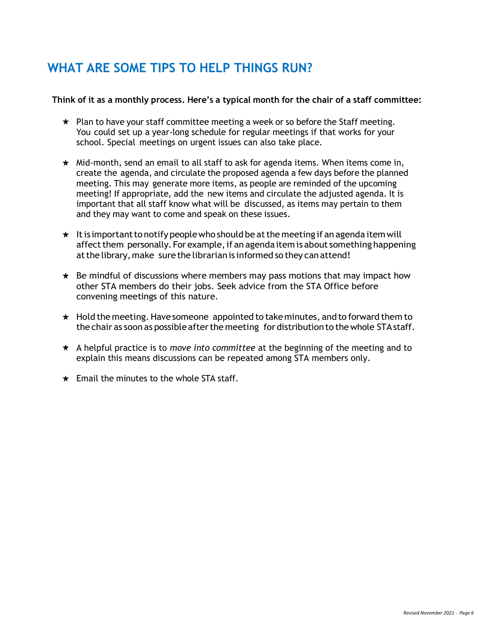## <span id="page-5-0"></span>**WHAT ARE SOME TIPS TO HELP THINGS RUN?**

#### **Think of it as a monthly process. Here's a typical month for the chair of a staff committee:**

- $\star$  Plan to have your staff committee meeting a week or so before the Staff meeting. You could set up a year-long schedule for regular meetings if that works for your school. Special meetings on urgent issues can also take place.
- $\star$  Mid-month, send an email to all staff to ask for agenda items. When items come in, create the agenda, and circulate the proposed agenda a few days before the planned meeting. This may generate more items, as people are reminded of the upcoming meeting! If appropriate, add the new items and circulate the adjusted agenda. It is important that all staff know what will be discussed, as items may pertain to them and they may want to come and speak on these issues.
- $\star$  It is important to notify people who should be at the meeting if an agenda item will affect them personally. For example, if an agendaitem is about something happening at the library, make sure the librarian is informed so they can attend!
- $\star$  Be mindful of discussions where members may pass motions that may impact how other STA members do their jobs. Seek advice from the STA Office before convening meetings of this nature.
- $\star$  Hold the meeting. Have someone appointed to take minutes, and to forward them to the chair as soon as possible after the meeting for distribution to the whole STA staff.
- A helpful practice is to *move into committee* at the beginning of the meeting and to explain this means discussions can be repeated among STA members only.
- $\star$  Email the minutes to the whole STA staff.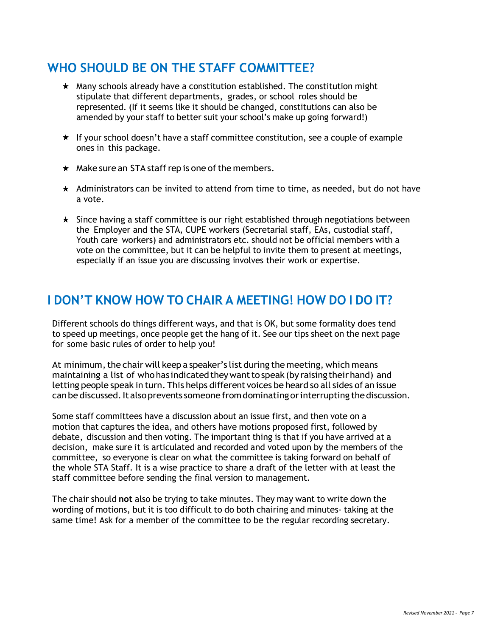### <span id="page-6-0"></span>**WHO SHOULD BE ON THE STAFF COMMITTEE?**

- $\star$  Many schools already have a constitution established. The constitution might stipulate that different departments, grades, or school roles should be represented. (If it seems like it should be changed, constitutions can also be amended by your staff to better suit your school's make up going forward!)
- $\star$  If your school doesn't have a staff committee constitution, see a couple of example ones in this package.
- $\star$  Make sure an STA staff rep is one of the members.
- $\star$  Administrators can be invited to attend from time to time, as needed, but do not have a vote.
- $\star$  Since having a staff committee is our right established through negotiations between the Employer and the STA, CUPE workers (Secretarial staff, EAs, custodial staff, Youth care workers) and administrators etc. should not be official members with a vote on the committee, but it can be helpful to invite them to present at meetings, especially if an issue you are discussing involves their work or expertise.

### <span id="page-6-1"></span>**I DON'T KNOW HOW TO CHAIR A MEETING! HOW DO I DO IT?**

Different schools do things different ways, and that is OK, but some formality does tend to speed up meetings, once people get the hang of it. See our tips sheet on the next page for some basic rules of order to help you!

At minimum, the chair will keep a speaker's list during the meeting, which means maintaining a list of who has indicated they want to speak (by raising their hand) and letting people speak in turn. This helps different voices be heard so all sides of an issue can be discussed. It also prevents someone from dominating or interrupting the discussion.

Some staff committees have a discussion about an issue first, and then vote on a motion that captures the idea, and others have motions proposed first, followed by debate, discussion and then voting. The important thing is that if you have arrived at a decision, make sure it is articulated and recorded and voted upon by the members of the committee, so everyone is clear on what the committee is taking forward on behalf of the whole STA Staff. It is a wise practice to share a draft of the letter with at least the staff committee before sending the final version to management.

The chair should **not** also be trying to take minutes. They may want to write down the wording of motions, but it is too difficult to do both chairing and minutes- taking at the same time! Ask for a member of the committee to be the regular recording secretary.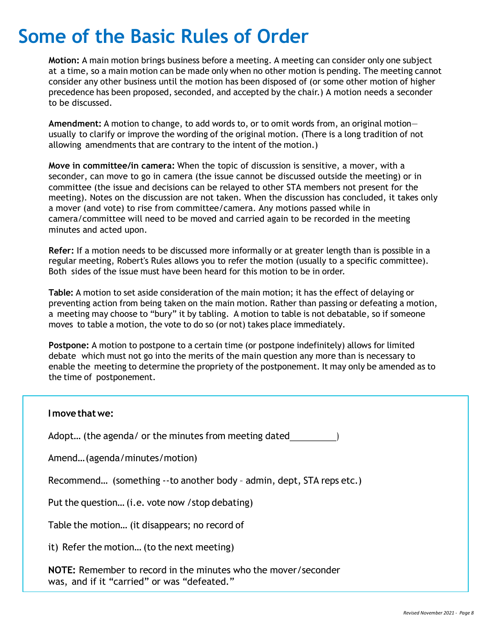## <span id="page-7-0"></span>**Some of the Basic Rules of Order**

**Motion:** A main motion brings business before a meeting. A meeting can consider only one subject at a time, so a main motion can be made only when no other motion is pending. The meeting cannot consider any other business until the motion has been disposed of (or some other motion of higher precedence has been proposed, seconded, and accepted by the chair.) A motion needs a seconder to be discussed.

**Amendment:** A motion to change, to add words to, or to omit words from, an original motion usually to clarify or improve the wording of the original motion. (There is a long tradition of not allowing amendments that are contrary to the intent of the motion.)

**Move in committee/in camera:** When the topic of discussion is sensitive, a mover, with a seconder, can move to go in camera (the issue cannot be discussed outside the meeting) or in committee (the issue and decisions can be relayed to other STA members not present for the meeting). Notes on the discussion are not taken. When the discussion has concluded, it takes only a mover (and vote) to rise from committee/camera. Any motions passed while in camera/committee will need to be moved and carried again to be recorded in the meeting minutes and acted upon.

**Refer:** If a motion needs to be discussed more informally or at greater length than is possible in a regular meeting, Robert's Rules allows you to refer the motion (usually to a specific committee). Both sides of the issue must have been heard for this motion to be in order.

**Table:** A motion to set aside consideration of the main motion; it has the effect of delaying or preventing action from being taken on the main motion. Rather than passing or defeating a motion, a meeting may choose to "bury" it by tabling. A motion to table is not debatable, so if someone moves to table a motion, the vote to do so (or not) takes place immediately.

**Postpone:** A motion to postpone to a certain time (or postpone indefinitely) allows for limited debate which must not go into the merits of the main question any more than is necessary to enable the meeting to determine the propriety of the postponement. It may only be amended as to the time of postponement.

## **Imovethatwe:** Adopt... (the agenda/ or the minutes from meeting dated  $\qquad \qquad$  ) Amend…(agenda/minutes/motion) Recommend… (something --to another body – admin, dept, STA reps etc.) Put the question… (i.e. vote now /stop debating) Table the motion… (it disappears; no record of it) Refer the motion… (to the next meeting) **NOTE:** Remember to record in the minutes who the mover/seconder was, and if it "carried" or was "defeated."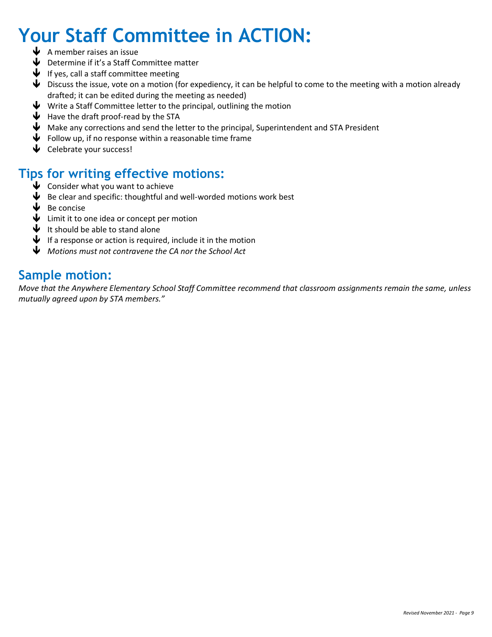## <span id="page-8-0"></span>**Your Staff Committee in ACTION:**

- $\blacklozenge$  A member raises an issue
- $\blacklozenge$  Determine if it's a Staff Committee matter
- $\blacklozenge$  If yes, call a staff committee meeting
- $\blacklozenge$  Discuss the issue, vote on a motion (for expediency, it can be helpful to come to the meeting with a motion already drafted; it can be edited during the meeting as needed)
- $\blacklozenge$  Write a Staff Committee letter to the principal, outlining the motion
- $\blacklozenge$  Have the draft proof-read by the STA
- $\blacklozenge$  Make any corrections and send the letter to the principal, Superintendent and STA President
- $\blacklozenge$  Follow up, if no response within a reasonable time frame
- $\blacklozenge$  Celebrate your success!

## <span id="page-8-1"></span>**Tips for writing effective motions:**

- $\bigtriangledown$  Consider what you want to achieve
- $\blacklozenge$  Be clear and specific: thoughtful and well-worded motions work best
- $\blacklozenge$  Be concise
- $\blacklozenge$  Limit it to one idea or concept per motion
- $\blacklozenge$  It should be able to stand alone
- $\blacklozenge$  If a response or action is required, include it in the motion
- *Motions must not contravene the CA nor the School Act*

### <span id="page-8-2"></span>**Sample motion:**

*Move that the Anywhere Elementary School Staff Committee recommend that classroom assignments remain the same, unless mutually agreed upon by STA members."*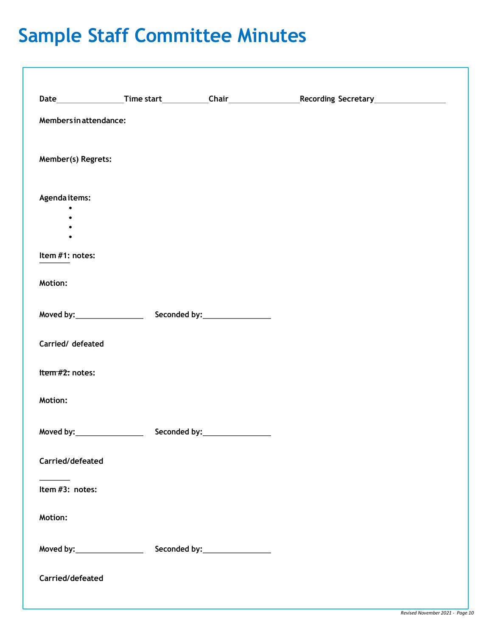## <span id="page-9-0"></span>**Sample Staff Committee Minutes**

| Members in attendance:         |                                |  |
|--------------------------------|--------------------------------|--|
| Member(s) Regrets:             |                                |  |
| Agendaitems:                   |                                |  |
|                                |                                |  |
| Item #1: notes:                |                                |  |
| Motion:                        |                                |  |
|                                |                                |  |
| Carried/ defeated              |                                |  |
| Item #2: notes:                |                                |  |
| Motion:                        |                                |  |
|                                |                                |  |
| Carried/defeated               |                                |  |
| Item #3: notes:                |                                |  |
| <b>Motion:</b>                 |                                |  |
| Moved by:_____________________ | Seconded by: _________________ |  |
| Carried/defeated               |                                |  |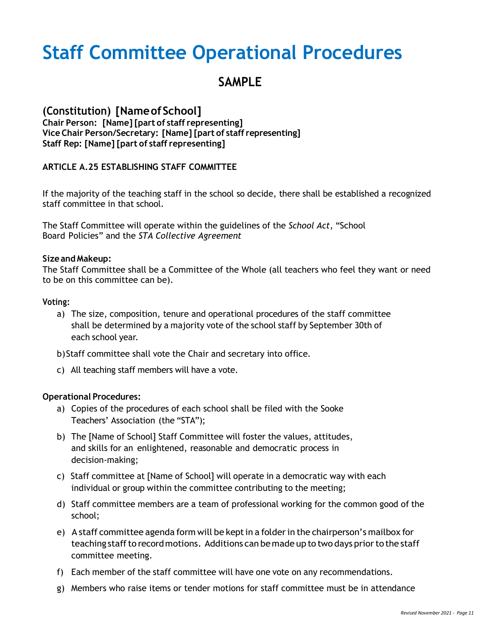## <span id="page-10-0"></span>**Staff Committee Operational Procedures**

## **SAMPLE**

#### **(Constitution) [NameofSchool] Chair Person: [Name] [part of staff representing] Vice Chair Person/Secretary: [Name] [part of staff representing] Staff Rep: [Name] [part of staff representing]**

#### **ARTICLE A.25 ESTABLISHING STAFF COMMITTEE**

If the majority of the teaching staff in the school so decide, there shall be established a recognized staff committee in that school.

The Staff Committee will operate within the guidelines of the *School Act*, "School Board Policies" and the *STA Collective Agreement*

#### **Sizeand Makeup:**

The Staff Committee shall be a Committee of the Whole (all teachers who feel they want or need to be on this committee can be).

#### **Voting:**

a) The size, composition, tenure and operational procedures of the staff committee shall be determined by a majority vote of the school staff by September 30th of each school year.

b)Staff committee shall vote the Chair and secretary into office.

c) All teaching staff members will have a vote.

#### **Operational Procedures:**

- a) Copies of the procedures of each school shall be filed with the Sooke Teachers' Association (the "STA");
- b) The [Name of School] Staff Committee will foster the values, attitudes, and skills for an enlightened, reasonable and democratic process in decision-making;
- c) Staff committee at [Name of School] will operate in a democratic way with each individual or group within the committee contributing to the meeting;
- d) Staff committee members are a team of professional working for the common good of the school;
- e) A staff committee agenda form will be keptin a folderin the chairperson's mailbox for teaching staff to record motions. Additions can be made up to two days prior to the staff committee meeting.
- f) Each member of the staff committee will have one vote on any recommendations.
- g) Members who raise items or tender motions for staff committee must be in attendance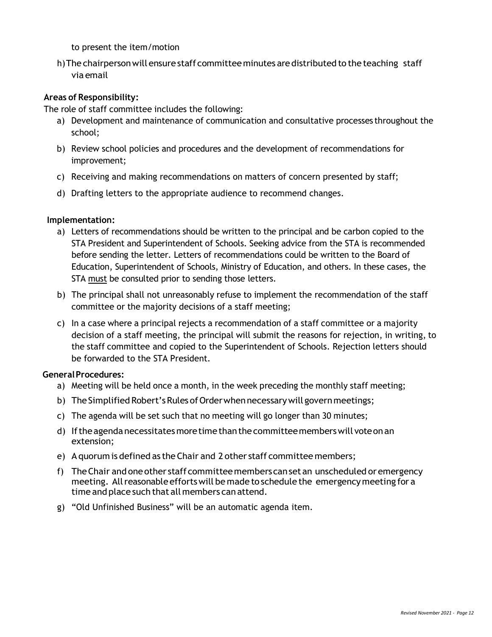to present the item/motion

h)The chairpersonwill ensurestaff committeeminutes aredistributed to the teaching staff via email

#### **Areas of Responsibility:**

The role of staff committee includes the following:

- a) Development and maintenance of communication and consultative processes throughout the school;
- b) Review school policies and procedures and the development of recommendations for improvement;
- c) Receiving and making recommendations on matters of concern presented by staff;
- d) Drafting letters to the appropriate audience to recommend changes.

#### **Implementation:**

- a) Letters of recommendations should be written to the principal and be carbon copied to the STA President and Superintendent of Schools. Seeking advice from the STA is recommended before sending the letter. Letters of recommendations could be written to the Board of Education, Superintendent of Schools, Ministry of Education, and others. In these cases, the STA must be consulted prior to sending those letters.
- b) The principal shall not unreasonably refuse to implement the recommendation of the staff committee or the majority decisions of a staff meeting;
- c) In a case where a principal rejects a recommendation of a staff committee or a majority decision of a staff meeting, the principal will submit the reasons for rejection, in writing, to the staff committee and copied to the Superintendent of Schools. Rejection letters should be forwarded to the STA President.

#### **GeneralProcedures:**

- a) Meeting will be held once a month, in the week preceding the monthly staff meeting;
- b) The Simplified Robert's Rules of Order when necessary will govern meetings;
- c) The agenda will be set such that no meeting will go longer than 30 minutes;
- d) Iftheagendanecessitatesmoretimethanthecommitteememberswill voteonan extension;
- e) Aquorum is defined as theChair and 2 other staff committee members;
- f) TheChair andoneother staff committeememberscansetan unscheduled oremergency meeting. All reasonable efforts will be made to schedule the emergency meeting for a time andplace such that all members can attend.
- g) "Old Unfinished Business" will be an automatic agenda item.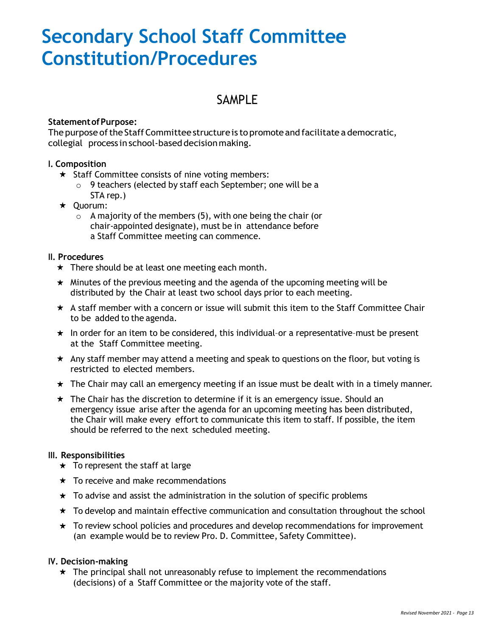## <span id="page-12-0"></span>**Secondary School Staff Committee Constitution/Procedures**

### SAMPLE

#### **StatementofPurpose:**

The purpose of the Staff Committee structure is to promote and facilitate a democratic, collegial process in school-based decisionmaking.

#### **I. Composition**

- $\star$  Staff Committee consists of nine voting members:
	- o 9 teachers (elected by staff each September; one will be a STA rep.)
- $\star$  Ouorum:
	- $\circ$  A majority of the members (5), with one being the chair (or chair-appointed designate), must be in attendance before a Staff Committee meeting can commence.

#### **II. Procedures**

- $\star$  There should be at least one meeting each month.
- $\star$  Minutes of the previous meeting and the agenda of the upcoming meeting will be distributed by the Chair at least two school days prior to each meeting.
- $\star$  A staff member with a concern or issue will submit this item to the Staff Committee Chair to be added to the agenda.
- $\star$  In order for an item to be considered, this individual-or a representative-must be present at the Staff Committee meeting.
- $\star$  Any staff member may attend a meeting and speak to questions on the floor, but voting is restricted to elected members.
- $\star$  The Chair may call an emergency meeting if an issue must be dealt with in a timely manner.
- $\star$  The Chair has the discretion to determine if it is an emergency issue. Should an emergency issue arise after the agenda for an upcoming meeting has been distributed, the Chair will make every effort to communicate this item to staff. If possible, the item should be referred to the next scheduled meeting.

#### **III. Responsibilities**

- $\star$  To represent the staff at large
- $\star$  To receive and make recommendations
- $\star$  To advise and assist the administration in the solution of specific problems
- $\star$  To develop and maintain effective communication and consultation throughout the school
- $\star$  To review school policies and procedures and develop recommendations for improvement (an example would be to review Pro. D. Committee, Safety Committee).

#### **IV. Decision-making**

 $\star$  The principal shall not unreasonably refuse to implement the recommendations (decisions) of a Staff Committee or the majority vote of the staff.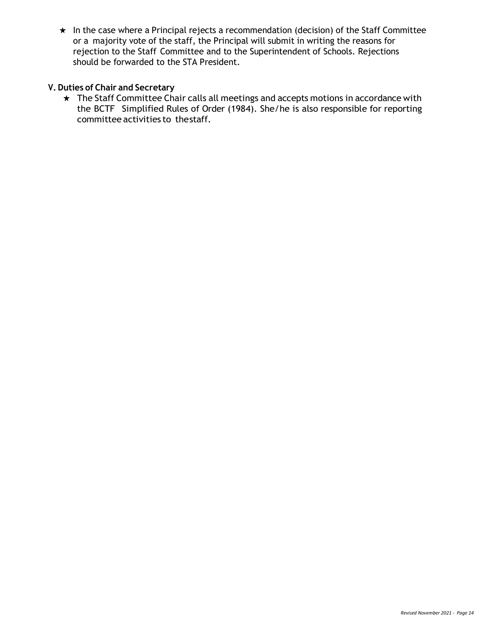$\star$  In the case where a Principal rejects a recommendation (decision) of the Staff Committee or a majority vote of the staff, the Principal will submit in writing the reasons for rejection to the Staff Committee and to the Superintendent of Schools. Rejections should be forwarded to the STA President.

#### **V. Duties of Chair and Secretary**

\* The Staff Committee Chair calls all meetings and accepts motions in accordance with the BCTF Simplified Rules of Order (1984). She/he is also responsible for reporting committee activities to thestaff.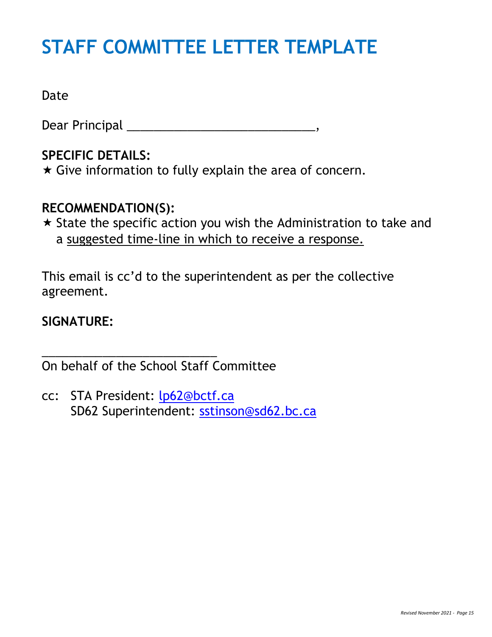# <span id="page-14-0"></span>**STAFF COMMITTEE LETTER TEMPLATE**

Date

Dear Principal \_\_\_\_\_\_\_\_\_\_\_\_\_\_\_\_\_\_\_\_\_\_\_\_\_\_\_\_,

## **SPECIFIC DETAILS:**

 $\star$  Give information to fully explain the area of concern.

## **RECOMMENDATION(S):**

 $\star$  State the specific action you wish the Administration to take and a suggested time-line in which to receive a response.

This email is cc'd to the superintendent as per the collective agreement.

## **SIGNATURE:**

On behalf of the School Staff Committee

\_\_\_\_\_\_\_\_\_\_\_\_\_\_\_\_\_\_\_\_\_\_\_\_\_\_

cc: STA President: [lp62@bctf.ca](mailto:lp62@bctf.ca) SD62 Superintendent: [sstinson@sd62.bc.ca](mailto:sstinson@sd62.bc.ca)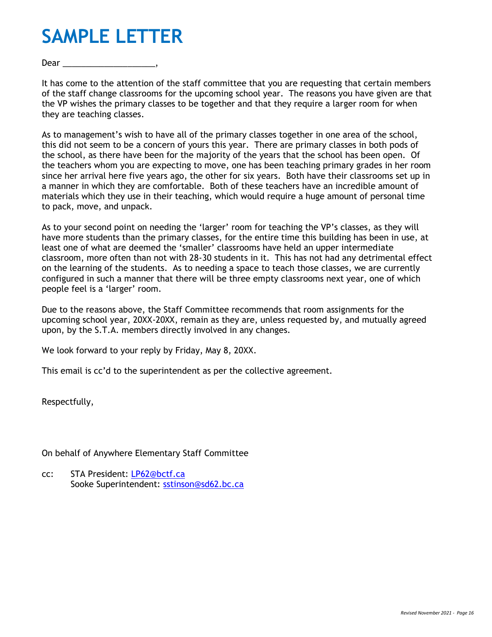## <span id="page-15-0"></span>**SAMPLE LETTER**

Dear **Dear** 

It has come to the attention of the staff committee that you are requesting that certain members of the staff change classrooms for the upcoming school year. The reasons you have given are that the VP wishes the primary classes to be together and that they require a larger room for when they are teaching classes.

As to management's wish to have all of the primary classes together in one area of the school, this did not seem to be a concern of yours this year. There are primary classes in both pods of the school, as there have been for the majority of the years that the school has been open. Of the teachers whom you are expecting to move, one has been teaching primary grades in her room since her arrival here five years ago, the other for six years. Both have their classrooms set up in a manner in which they are comfortable. Both of these teachers have an incredible amount of materials which they use in their teaching, which would require a huge amount of personal time to pack, move, and unpack.

As to your second point on needing the 'larger' room for teaching the VP's classes, as they will have more students than the primary classes, for the entire time this building has been in use, at least one of what are deemed the 'smaller' classrooms have held an upper intermediate classroom, more often than not with 28-30 students in it. This has not had any detrimental effect on the learning of the students. As to needing a space to teach those classes, we are currently configured in such a manner that there will be three empty classrooms next year, one of which people feel is a 'larger' room.

Due to the reasons above, the Staff Committee recommends that room assignments for the upcoming school year, 20XX-20XX, remain as they are, unless requested by, and mutually agreed upon, by the S.T.A. members directly involved in any changes.

We look forward to your reply by Friday, May 8, 20XX.

This email is cc'd to the superintendent as per the collective agreement.

Respectfully,

On behalf of Anywhere Elementary Staff Committee

cc: STA President: [LP62@bctf.ca](mailto:LP62@bctf.ca) Sooke Superintendent: [sstinson@sd62.bc.ca](mailto:sstinson@sd62.bc.ca)